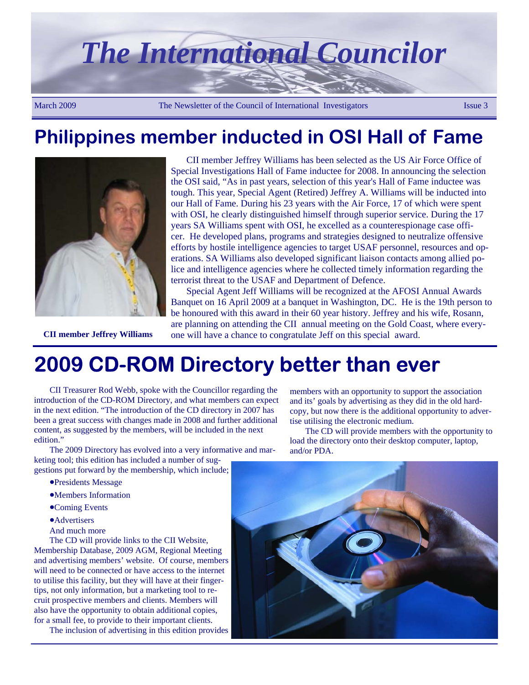

### **Philippines member inducted in OSI Hall of Fame**



CII member Jeffrey Williams has been selected as the US Air Force Office of Special Investigations Hall of Fame inductee for 2008. In announcing the selection the OSI said, "As in past years, selection of this year's Hall of Fame inductee was tough. This year, Special Agent (Retired) Jeffrey A. Williams will be inducted into our Hall of Fame. During his 23 years with the Air Force, 17 of which were spent with OSI, he clearly distinguished himself through superior service. During the 17 years SA Williams spent with OSI, he excelled as a counterespionage case officer. He developed plans, programs and strategies designed to neutralize offensive efforts by hostile intelligence agencies to target USAF personnel, resources and operations. SA Williams also developed significant liaison contacts among allied police and intelligence agencies where he collected timely information regarding the terrorist threat to the USAF and Department of Defence.

Special Agent Jeff Williams will be recognized at the AFOSI Annual Awards Banquet on 16 April 2009 at a banquet in Washington, DC. He is the 19th person to be honoured with this award in their 60 year history. Jeffrey and his wife, Rosann, are planning on attending the CII annual meeting on the Gold Coast, where every-**CII member Jeffrey Williams** one will have a chance to congratulate Jeff on this special award.

and/or PDA.

**2009 CD-ROM Directory better than ever** 

CII Treasurer Rod Webb, spoke with the Councillor regarding the introduction of the CD-ROM Directory, and what members can expect in the next edition. "The introduction of the CD directory in 2007 has been a great success with changes made in 2008 and further additional content, as suggested by the members, will be included in the next edition."

The 2009 Directory has evolved into a very informative and marketing tool; this edition has included a number of sug-

- gestions put forward by the membership, which include;
	- •Presidents Message
	- •Members Information
	- •Coming Events
	- **•Advertisers**
	- And much more

The CD will provide links to the CII Website, Membership Database, 2009 AGM, Regional Meeting and advertising members' website. Of course, members will need to be connected or have access to the internet to utilise this facility, but they will have at their fingertips, not only information, but a marketing tool to recruit prospective members and clients. Members will also have the opportunity to obtain additional copies, for a small fee, to provide to their important clients.

The inclusion of advertising in this edition provides

and its' goals by advertising as they did in the old hardcopy, but now there is the additional opportunity to advertise utilising the electronic medium. The CD will provide members with the opportunity to load the directory onto their desktop computer, laptop,

members with an opportunity to support the association

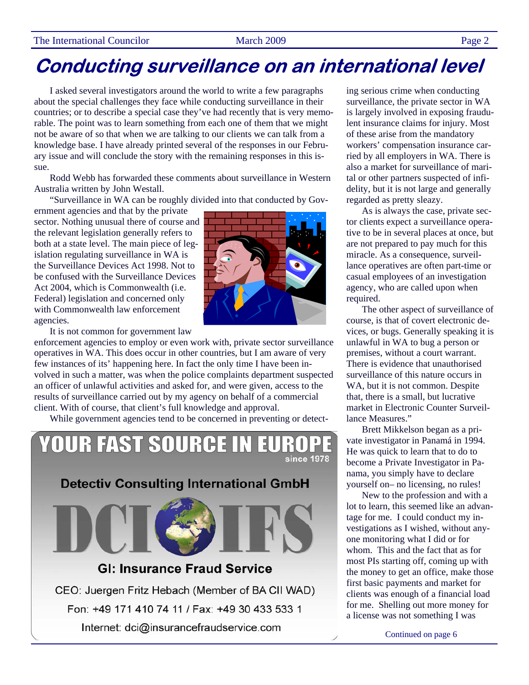I asked several investigators around the world to write a few paragraphs about the special challenges they face while conducting surveillance in their countries; or to describe a special case they've had recently that is very memorable. The point was to learn something from each one of them that we might not be aware of so that when we are talking to our clients we can talk from a knowledge base. I have already printed several of the responses in our February issue and will conclude the story with the remaining responses in this issue.

Rodd Webb has forwarded these comments about surveillance in Western Australia written by John Westall.

"Surveillance in WA can be roughly divided into that conducted by Gov-

ernment agencies and that by the private sector. Nothing unusual there of course and the relevant legislation generally refers to both at a state level. The main piece of legislation regulating surveillance in WA is the Surveillance Devices Act 1998. Not to be confused with the Surveillance Devices Act 2004, which is Commonwealth (i.e. Federal) legislation and concerned only with Commonwealth law enforcement agencies.



It is not common for government law

enforcement agencies to employ or even work with, private sector surveillance operatives in WA. This does occur in other countries, but I am aware of very few instances of its' happening here. In fact the only time I have been involved in such a matter, was when the police complaints department suspected an officer of unlawful activities and asked for, and were given, access to the results of surveillance carried out by my agency on behalf of a commercial client. With of course, that client's full knowledge and approval.

While government agencies tend to be concerned in preventing or detect-



ing serious crime when conducting surveillance, the private sector in WA is largely involved in exposing fraudulent insurance claims for injury. Most of these arise from the mandatory workers' compensation insurance carried by all employers in WA. There is also a market for surveillance of marital or other partners suspected of infidelity, but it is not large and generally regarded as pretty sleazy.

As is always the case, private sector clients expect a surveillance operative to be in several places at once, but are not prepared to pay much for this miracle. As a consequence, surveillance operatives are often part-time or casual employees of an investigation agency, who are called upon when required.

The other aspect of surveillance of course, is that of covert electronic devices, or bugs. Generally speaking it is unlawful in WA to bug a person or premises, without a court warrant. There is evidence that unauthorised surveillance of this nature occurs in WA, but it is not common. Despite that, there is a small, but lucrative market in Electronic Counter Surveillance Measures."

Brett Mikkelson began as a private investigator in Panamá in 1994. He was quick to learn that to do to become a Private Investigator in Panama, you simply have to declare yourself on– no licensing, no rules!

New to the profession and with a lot to learn, this seemed like an advantage for me. I could conduct my investigations as I wished, without anyone monitoring what I did or for whom. This and the fact that as for most PIs starting off, coming up with the money to get an office, make those first basic payments and market for clients was enough of a financial load for me. Shelling out more money for a license was not something I was

Continued on page 6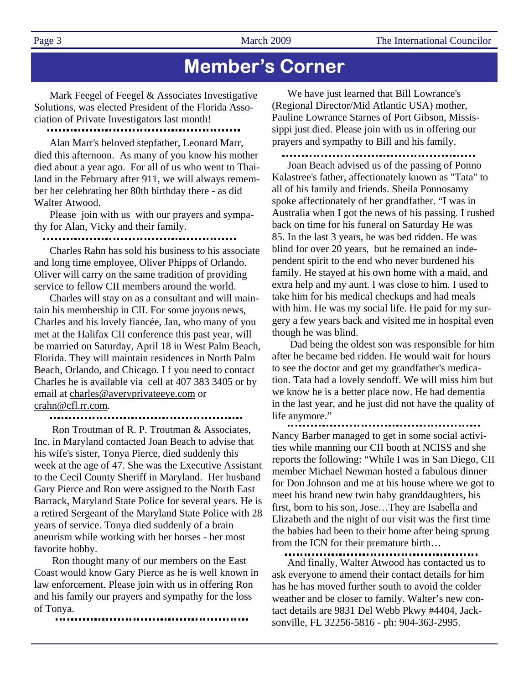Page 3 March 2009 The International Councilor

### **Member's Corner**

Mark Feegel of Feegel & Associates Investigative Solutions, was elected President of the Florida Association of Private Investigators last month!

Alan Marr's beloved stepfather, Leonard Marr, died this afternoon. As many of you know his mother died about a year ago. For all of us who went to Thailand in the February after 911, we will always remember her celebrating her 80th birthday there - as did Walter Atwood.

Please join with us with our prayers and sympathy for Alan, Vicky and their family.

Charles Rahn has sold his business to his associate and long time employee, Oliver Phipps of Orlando. Oliver will carry on the same tradition of providing service to fellow CII members around the world.

Charles will stay on as a consultant and will maintain his membership in CII. For some joyous news, Charles and his lovely fiancée, Jan, who many of you met at the Halifax CII conference this past year, will be married on Saturday, April 18 in West Palm Beach, Florida. They will maintain residences in North Palm Beach, Orlando, and Chicago. I f you need to contact Charles he is available via cell at 407 383 3405 or by email at charles@averyprivateeye.com or crahn@cfl.rr.com.

:

 Ron Troutman of R. P. Troutman & Associates, Inc. in Maryland contacted Joan Beach to advise that his wife's sister, Tonya Pierce, died suddenly this week at the age of 47. She was the Executive Assistant to the Cecil County Sheriff in Maryland. Her husband Gary Pierce and Ron were assigned to the North East Barrack, Maryland State Police for several years. He is a retired Sergeant of the Maryland State Police with 28 years of service. Tonya died suddenly of a brain aneurism while working with her horses - her most favorite hobby.

 Ron thought many of our members on the East Coast would know Gary Pierce as he is well known in law enforcement. Please join with us in offering Ron and his family our prayers and sympathy for the loss of Tonya.

We have just learned that Bill Lowrance's (Regional Director/Mid Atlantic USA) mother, Pauline Lowrance Starnes of Port Gibson, Mississippi just died. Please join with us in offering our prayers and sympathy to Bill and his family.

Joan Beach advised us of the passing of Ponno Kalastree's father, affectionately known as "Tata" to all of his family and friends. Sheila Ponnosamy spoke affectionately of her grandfather. "I was in Australia when I got the news of his passing. I rushed back on time for his funeral on Saturday He was 85. In the last 3 years, he was bed ridden. He was blind for over 20 years, but he remained an independent spirit to the end who never burdened his family. He stayed at his own home with a maid, and extra help and my aunt. I was close to him. I used to take him for his medical checkups and had meals with him. He was my social life. He paid for my surgery a few years back and visited me in hospital even though he was blind.

 Dad being the oldest son was responsible for him after he became bed ridden. He would wait for hours to see the doctor and get my grandfather's medication. Tata had a lovely sendoff. We will miss him but we know he is a better place now. He had dementia in the last year, and he just did not have the quality of life anymore."

................................... Nancy Barber managed to get in some social activities while manning our CII booth at NCISS and she reports the following: "While I was in San Diego, CII member Michael Newman hosted a fabulous dinner for Don Johnson and me at his house where we got to meet his brand new twin baby granddaughters, his first, born to his son, Jose…They are Isabella and Elizabeth and the night of our visit was the first time the babies had been to their home after being sprung from the ICN for their premature birth…

And finally, Walter Atwood has contacted us to ask everyone to amend their contact details for him has he has moved further south to avoid the colder weather and be closer to family. Walter's new contact details are 9831 Del Webb Pkwy #4404, Jacksonville, FL 32256-5816 - ph: 904-363-2995.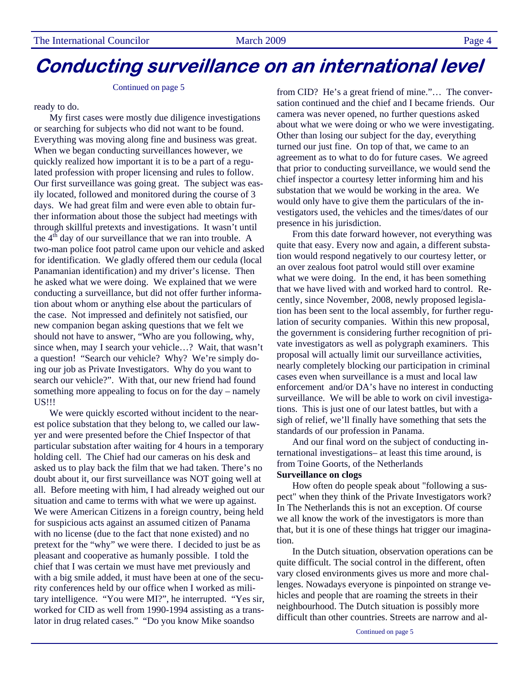#### Continued on page 5

ready to do.

My first cases were mostly due diligence investigations or searching for subjects who did not want to be found. Everything was moving along fine and business was great. When we began conducting surveillances however, we quickly realized how important it is to be a part of a regulated profession with proper licensing and rules to follow. Our first surveillance was going great. The subject was easily located, followed and monitored during the course of 3 days. We had great film and were even able to obtain further information about those the subject had meetings with through skillful pretexts and investigations. It wasn't until the  $4<sup>th</sup>$  day of our surveillance that we ran into trouble. A two-man police foot patrol came upon our vehicle and asked for identification. We gladly offered them our cedula (local Panamanian identification) and my driver's license. Then he asked what we were doing. We explained that we were conducting a surveillance, but did not offer further information about whom or anything else about the particulars of the case. Not impressed and definitely not satisfied, our new companion began asking questions that we felt we should not have to answer, "Who are you following, why, since when, may I search your vehicle…? Wait, that wasn't a question! "Search our vehicle? Why? We're simply doing our job as Private Investigators. Why do you want to search our vehicle?". With that, our new friend had found something more appealing to focus on for the day – namely US!!!

We were quickly escorted without incident to the nearest police substation that they belong to, we called our lawyer and were presented before the Chief Inspector of that particular substation after waiting for 4 hours in a temporary holding cell. The Chief had our cameras on his desk and asked us to play back the film that we had taken. There's no doubt about it, our first surveillance was NOT going well at all. Before meeting with him, I had already weighed out our situation and came to terms with what we were up against. We were American Citizens in a foreign country, being held for suspicious acts against an assumed citizen of Panama with no license (due to the fact that none existed) and no pretext for the "why" we were there. I decided to just be as pleasant and cooperative as humanly possible. I told the chief that I was certain we must have met previously and with a big smile added, it must have been at one of the security conferences held by our office when I worked as military intelligence. "You were MI?", he interrupted. "Yes sir, worked for CID as well from 1990-1994 assisting as a translator in drug related cases." "Do you know Mike soandso

from CID? He's a great friend of mine."… The conversation continued and the chief and I became friends. Our camera was never opened, no further questions asked about what we were doing or who we were investigating. Other than losing our subject for the day, everything turned our just fine. On top of that, we came to an agreement as to what to do for future cases. We agreed that prior to conducting surveillance, we would send the chief inspector a courtesy letter informing him and his substation that we would be working in the area. We would only have to give them the particulars of the investigators used, the vehicles and the times/dates of our presence in his jurisdiction.

From this date forward however, not everything was quite that easy. Every now and again, a different substation would respond negatively to our courtesy letter, or an over zealous foot patrol would still over examine what we were doing. In the end, it has been something that we have lived with and worked hard to control. Recently, since November, 2008, newly proposed legislation has been sent to the local assembly, for further regulation of security companies. Within this new proposal, the government is considering further recognition of private investigators as well as polygraph examiners. This proposal will actually limit our surveillance activities, nearly completely blocking our participation in criminal cases even when surveillance is a must and local law enforcement and/or DA's have no interest in conducting surveillance. We will be able to work on civil investigations. This is just one of our latest battles, but with a sigh of relief, we'll finally have something that sets the standards of our profession in Panama.

And our final word on the subject of conducting international investigations– at least this time around, is from Toine Goorts, of the Netherlands

### **Surveillance on clogs**

How often do people speak about "following a suspect" when they think of the Private Investigators work? In The Netherlands this is not an exception. Of course we all know the work of the investigators is more than that, but it is one of these things hat trigger our imagination.

In the Dutch situation, observation operations can be quite difficult. The social control in the different, often vary closed environments gives us more and more challenges. Nowadays everyone is pinpointed on strange vehicles and people that are roaming the streets in their neighbourhood. The Dutch situation is possibly more difficult than other countries. Streets are narrow and al-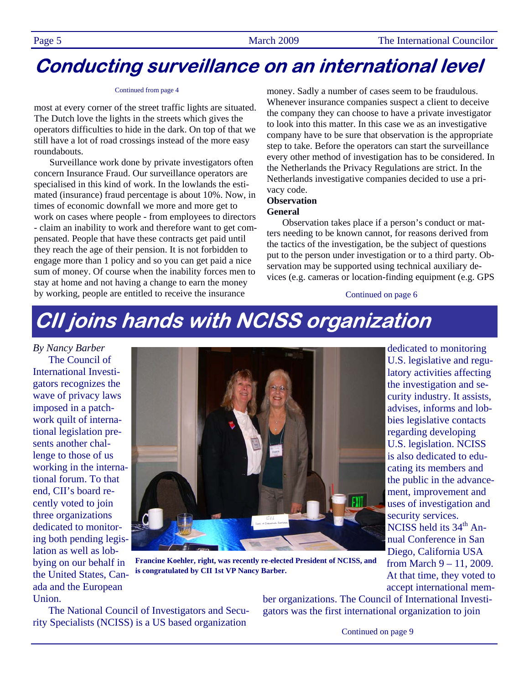#### Continued from page 4

most at every corner of the street traffic lights are situated. The Dutch love the lights in the streets which gives the operators difficulties to hide in the dark. On top of that we still have a lot of road crossings instead of the more easy roundabouts.

Surveillance work done by private investigators often concern Insurance Fraud. Our surveillance operators are specialised in this kind of work. In the lowlands the estimated (insurance) fraud percentage is about 10%. Now, in times of economic downfall we more and more get to work on cases where people - from employees to directors - claim an inability to work and therefore want to get compensated. People that have these contracts get paid until they reach the age of their pension. It is not forbidden to engage more than 1 policy and so you can get paid a nice sum of money. Of course when the inability forces men to stay at home and not having a change to earn the money by working, people are entitled to receive the insurance

money. Sadly a number of cases seem to be fraudulous. Whenever insurance companies suspect a client to deceive the company they can choose to have a private investigator to look into this matter. In this case we as an investigative company have to be sure that observation is the appropriate step to take. Before the operators can start the surveillance every other method of investigation has to be considered. In the Netherlands the Privacy Regulations are strict. In the Netherlands investigative companies decided to use a privacy code.

### **Observation**

#### **General**

Observation takes place if a person's conduct or matters needing to be known cannot, for reasons derived from the tactics of the investigation, be the subject of questions put to the person under investigation or to a third party. Observation may be supported using technical auxiliary devices (e.g. cameras or location-finding equipment (e.g. GPS

Continued on page 6

# **CII joins hands with NCISS organization**

*By Nancy Barber*  The Council of International Investigators recognizes the wave of privacy laws imposed in a patchwork quilt of international legislation presents another challenge to those of us working in the international forum. To that end, CII's board recently voted to join three organizations dedicated to monitoring both pending legislation as well as lobbying on our behalf in the United States, Canada and the European

Union.

**Francine Koehler, right, was recently re-elected President of NCISS, and is congratulated by CII 1st VP Nancy Barber.** 

latory activities affecting the investigation and security industry. It assists, advises, informs and lobbies legislative contacts regarding developing U.S. legislation. NCISS is also dedicated to educating its members and the public in the advancement, improvement and uses of investigation and security services. NCISS held its  $34<sup>th</sup>$  Annual Conference in San Diego, California USA from March 9 – 11, 2009. At that time, they voted to accept international mem-

dedicated to monitoring U.S. legislative and regu-

The National Council of Investigators and Security Specialists (NCISS) is a US based organization

ber organizations. The Council of International Investigators was the first international organization to join

Continued on page 9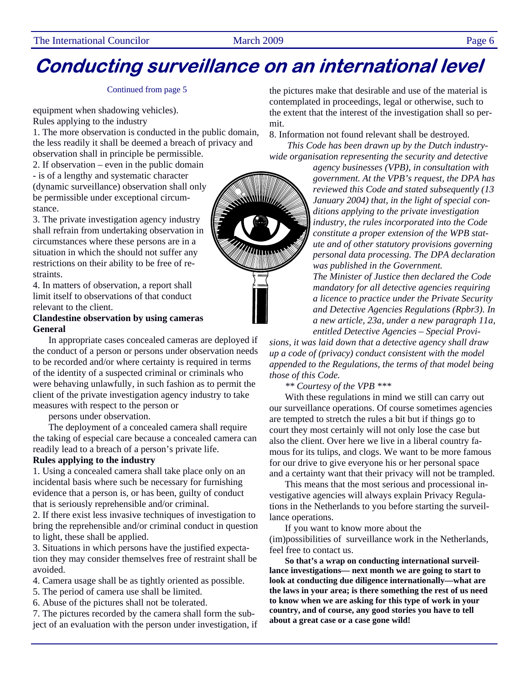#### Continued from page 5

equipment when shadowing vehicles). Rules applying to the industry

1. The more observation is conducted in the public domain, the less readily it shall be deemed a breach of privacy and observation shall in principle be permissible.

2. If observation – even in the public domain - is of a lengthy and systematic character (dynamic surveillance) observation shall only be permissible under exceptional circumstance.

3. The private investigation agency industry shall refrain from undertaking observation in circumstances where these persons are in a situation in which the should not suffer any restrictions on their ability to be free of restraints.

4. In matters of observation, a report shall limit itself to observations of that conduct relevant to the client.

### **Clandestine observation by using cameras General**

In appropriate cases concealed cameras are deployed if the conduct of a person or persons under observation needs to be recorded and/or where certainty is required in terms of the identity of a suspected criminal or criminals who were behaving unlawfully, in such fashion as to permit the client of the private investigation agency industry to take measures with respect to the person or

persons under observation.

The deployment of a concealed camera shall require the taking of especial care because a concealed camera can readily lead to a breach of a person's private life.

### **Rules applying to the industry**

1. Using a concealed camera shall take place only on an incidental basis where such be necessary for furnishing evidence that a person is, or has been, guilty of conduct that is seriously reprehensible and/or criminal.

2. If there exist less invasive techniques of investigation to bring the reprehensible and/or criminal conduct in question to light, these shall be applied.

3. Situations in which persons have the justified expectation they may consider themselves free of restraint shall be avoided.

4. Camera usage shall be as tightly oriented as possible.

- 5. The period of camera use shall be limited.
- 6. Abuse of the pictures shall not be tolerated.

7. The pictures recorded by the camera shall form the subject of an evaluation with the person under investigation, if the pictures make that desirable and use of the material is contemplated in proceedings, legal or otherwise, such to the extent that the interest of the investigation shall so permit.

8. Information not found relevant shall be destroyed.

*This Code has been drawn up by the Dutch industrywide organisation representing the security and detective* 

*agency businesses (VPB), in consultation with government. At the VPB's request, the DPA has reviewed this Code and stated subsequently (13 January 2004) that, in the light of special conditions applying to the private investigation industry, the rules incorporated into the Code constitute a proper extension of the WPB statute and of other statutory provisions governing personal data processing. The DPA declaration was published in the Government.* 

*The Minister of Justice then declared the Code mandatory for all detective agencies requiring a licence to practice under the Private Security and Detective Agencies Regulations (Rpbr3). In a new article, 23a, under a new paragraph 11a, entitled Detective Agencies – Special Provi-*

*sions, it was laid down that a detective agency shall draw up a code of (privacy) conduct consistent with the model appended to the Regulations, the terms of that model being those of this Code.* 

*\*\* Courtesy of the VPB \*\*\** 

With these regulations in mind we still can carry out our surveillance operations. Of course sometimes agencies are tempted to stretch the rules a bit but if things go to court they most certainly will not only lose the case but also the client. Over here we live in a liberal country famous for its tulips, and clogs. We want to be more famous for our drive to give everyone his or her personal space and a certainty want that their privacy will not be trampled.

This means that the most serious and processional investigative agencies will always explain Privacy Regulations in the Netherlands to you before starting the surveillance operations.

If you want to know more about the (im)possibilities of surveillance work in the Netherlands, feel free to contact us.

**So that's a wrap on conducting international surveillance investigations— next month we are going to start to look at conducting due diligence internationally—what are the laws in your area; is there something the rest of us need to know when we are asking for this type of work in your country, and of course, any good stories you have to tell about a great case or a case gone wild!** 

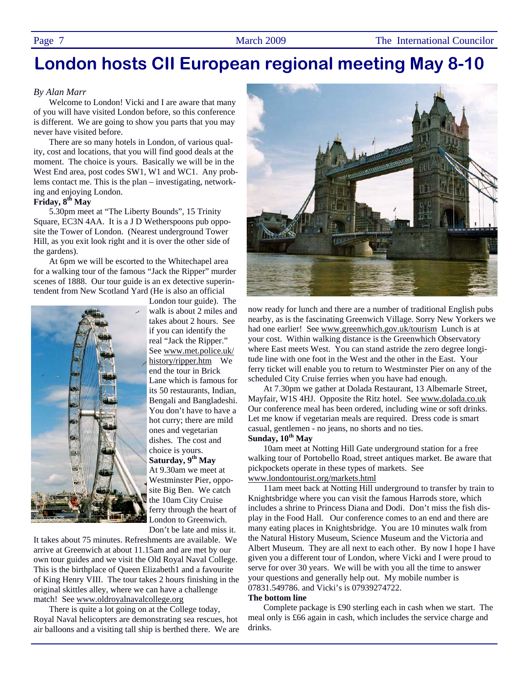### **London hosts CII European regional meeting May 8-10**

#### *By Alan Marr*

Welcome to London! Vicki and I are aware that many of you will have visited London before, so this conference is different. We are going to show you parts that you may never have visited before.

There are so many hotels in London, of various quality, cost and locations, that you will find good deals at the moment. The choice is yours. Basically we will be in the West End area, post codes SW1, W1 and WC1. Any problems contact me. This is the plan – investigating, networking and enjoying London.

#### **Friday, 8th May**

5.30pm meet at "The Liberty Bounds", 15 Trinity Square, EC3N 4AA. It is a J D Wetherspoons pub opposite the Tower of London. (Nearest underground Tower Hill, as you exit look right and it is over the other side of the gardens).

At 6pm we will be escorted to the Whitechapel area for a walking tour of the famous "Jack the Ripper" murder scenes of 1888. Our tour guide is an ex detective superintendent from New Scotland Yard (He is also an official



London tour guide). The walk is about 2 miles and takes about 2 hours. See if you can identify the real "Jack the Ripper." See www.met.police.uk/ history/ripper.htm We end the tour in Brick Lane which is famous for its 50 restaurants, Indian, Bengali and Bangladeshi. You don't have to have a hot curry; there are mild ones and vegetarian dishes. The cost and choice is yours. **Saturday, 9th May** At 9.30am we meet at Westminster Pier, opposite Big Ben. We catch the 10am City Cruise ferry through the heart of London to Greenwich. Don't be late and miss it.

It takes about 75 minutes. Refreshments are available. We arrive at Greenwich at about 11.15am and are met by our own tour guides and we visit the Old Royal Naval College. This is the birthplace of Queen Elizabeth1 and a favourite of King Henry VIII. The tour takes 2 hours finishing in the original skittles alley, where we can have a challenge match! See www.oldroyalnavalcollege.org

There is quite a lot going on at the College today, Royal Naval helicopters are demonstrating sea rescues, hot air balloons and a visiting tall ship is berthed there. We are



now ready for lunch and there are a number of traditional English pubs nearby, as is the fascinating Greenwich Village. Sorry New Yorkers we had one earlier! See www.greenwhich.gov.uk/tourism Lunch is at your cost. Within walking distance is the Greenwhich Observatory where East meets West. You can stand astride the zero degree longitude line with one foot in the West and the other in the East. Your ferry ticket will enable you to return to Westminster Pier on any of the scheduled City Cruise ferries when you have had enough.

At 7.30pm we gather at Dolada Restaurant, 13 Albemarle Street, Mayfair, W1S 4HJ. Opposite the Ritz hotel. See www.dolada.co.uk Our conference meal has been ordered, including wine or soft drinks. Let me know if vegetarian meals are required. Dress code is smart casual, gentlemen - no jeans, no shorts and no ties. **Sunday, 10th May** 

10am meet at Notting Hill Gate underground station for a free walking tour of Portobello Road, street antiques market. Be aware that pickpockets operate in these types of markets. See www.londontourist.org/markets.html

11am meet back at Notting Hill underground to transfer by train to Knightsbridge where you can visit the famous Harrods store, which includes a shrine to Princess Diana and Dodi. Don't miss the fish display in the Food Hall. Our conference comes to an end and there are many eating places in Knightsbridge. You are 10 minutes walk from the Natural History Museum, Science Museum and the Victoria and Albert Museum. They are all next to each other. By now I hope I have given you a different tour of London, where Vicki and I were proud to serve for over 30 years. We will be with you all the time to answer your questions and generally help out. My mobile number is 07831.549786. and Vicki's is 07939274722.

#### **The bottom line**

Complete package is £90 sterling each in cash when we start. The meal only is £66 again in cash, which includes the service charge and drinks.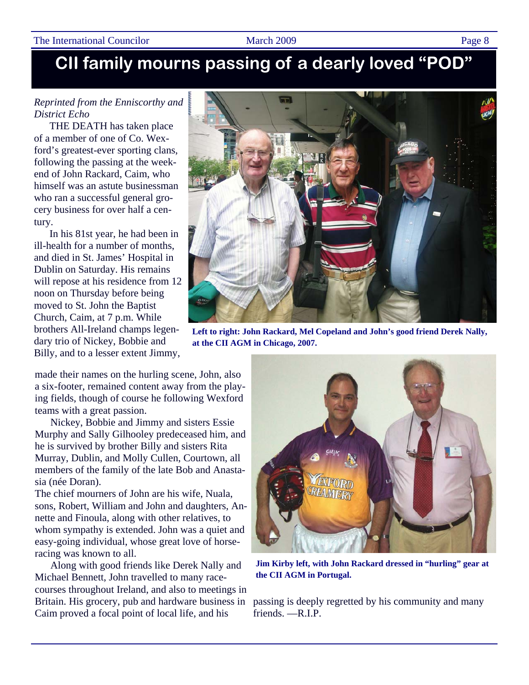### The International Councilor March 2009 March 2009 Page 8

### **CII family mourns passing of a dearly loved "POD"**

### *Reprinted from the Enniscorthy and District Echo*

THE DEATH has taken place of a member of one of Co. Wexford's greatest-ever sporting clans, following the passing at the weekend of John Rackard, Caim, who himself was an astute businessman who ran a successful general grocery business for over half a century.

In his 81st year, he had been in ill-health for a number of months, and died in St. James' Hospital in Dublin on Saturday. His remains will repose at his residence from 12 noon on Thursday before being moved to St. John the Baptist Church, Caim, at 7 p.m. While brothers All-Ireland champs legendary trio of Nickey, Bobbie and Billy, and to a lesser extent Jimmy,

made their names on the hurling scene, John, also a six-footer, remained content away from the playing fields, though of course he following Wexford teams with a great passion.

Nickey, Bobbie and Jimmy and sisters Essie Murphy and Sally Gilhooley predeceased him, and he is survived by brother Billy and sisters Rita Murray, Dublin, and Molly Cullen, Courtown, all members of the family of the late Bob and Anastasia (née Doran).

The chief mourners of John are his wife, Nuala, sons, Robert, William and John and daughters, Annette and Finoula, along with other relatives, to whom sympathy is extended. John was a quiet and easy-going individual, whose great love of horseracing was known to all.

Along with good friends like Derek Nally and Michael Bennett, John travelled to many racecourses throughout Ireland, and also to meetings in Britain. His grocery, pub and hardware business in Caim proved a focal point of local life, and his



**Left to right: John Rackard, Mel Copeland and John's good friend Derek Nally, at the CII AGM in Chicago, 2007.** 



**Jim Kirby left, with John Rackard dressed in "hurling" gear at the CII AGM in Portugal.** 

passing is deeply regretted by his community and many friends. —R.I.P.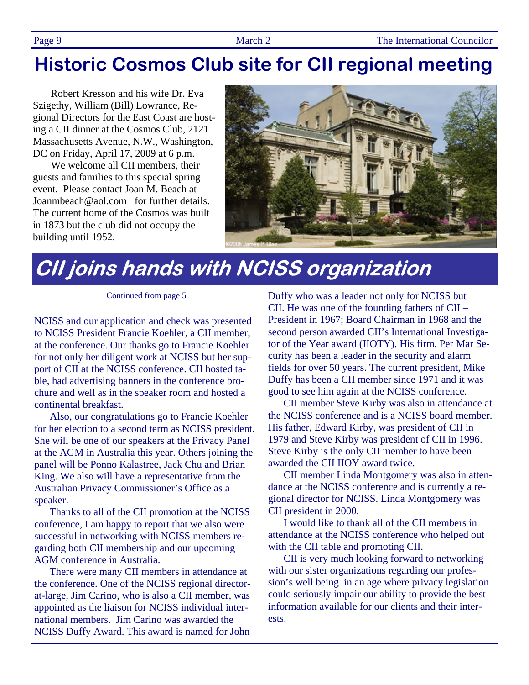### **Historic Cosmos Club site for CII regional meeting**

Robert Kresson and his wife Dr. Eva Szigethy, William (Bill) Lowrance, Regional Directors for the East Coast are hosting a CII dinner at the Cosmos Club, 2121 Massachusetts Avenue, N.W., Washington, DC on Friday, April 17, 2009 at 6 p.m.

 We welcome all CII members, their guests and families to this special spring event. Please contact Joan M. Beach at Joanmbeach@aol.com for further details. The current home of the Cosmos was built in 1873 but the club did not occupy the building until 1952.



# **CII joins hands with NCISS organization**

Continued from page 5

NCISS and our application and check was presented to NCISS President Francie Koehler, a CII member, at the conference. Our thanks go to Francie Koehler for not only her diligent work at NCISS but her support of CII at the NCISS conference. CII hosted table, had advertising banners in the conference brochure and well as in the speaker room and hosted a continental breakfast.

Also, our congratulations go to Francie Koehler for her election to a second term as NCISS president. She will be one of our speakers at the Privacy Panel at the AGM in Australia this year. Others joining the panel will be Ponno Kalastree, Jack Chu and Brian King. We also will have a representative from the Australian Privacy Commissioner's Office as a speaker.

Thanks to all of the CII promotion at the NCISS conference, I am happy to report that we also were successful in networking with NCISS members regarding both CII membership and our upcoming AGM conference in Australia.

There were many CII members in attendance at the conference. One of the NCISS regional directorat-large, Jim Carino, who is also a CII member, was appointed as the liaison for NCISS individual international members. Jim Carino was awarded the NCISS Duffy Award. This award is named for John

Duffy who was a leader not only for NCISS but CII. He was one of the founding fathers of CII – President in 1967; Board Chairman in 1968 and the second person awarded CII's International Investigator of the Year award (IIOTY). His firm, Per Mar Security has been a leader in the security and alarm fields for over 50 years. The current president, Mike Duffy has been a CII member since 1971 and it was good to see him again at the NCISS conference.

CII member Steve Kirby was also in attendance at the NCISS conference and is a NCISS board member. His father, Edward Kirby, was president of CII in 1979 and Steve Kirby was president of CII in 1996. Steve Kirby is the only CII member to have been awarded the CII IIOY award twice.

CII member Linda Montgomery was also in attendance at the NCISS conference and is currently a regional director for NCISS. Linda Montgomery was CII president in 2000.

I would like to thank all of the CII members in attendance at the NCISS conference who helped out with the CII table and promoting CII.

CII is very much looking forward to networking with our sister organizations regarding our profession's well being in an age where privacy legislation could seriously impair our ability to provide the best information available for our clients and their interests.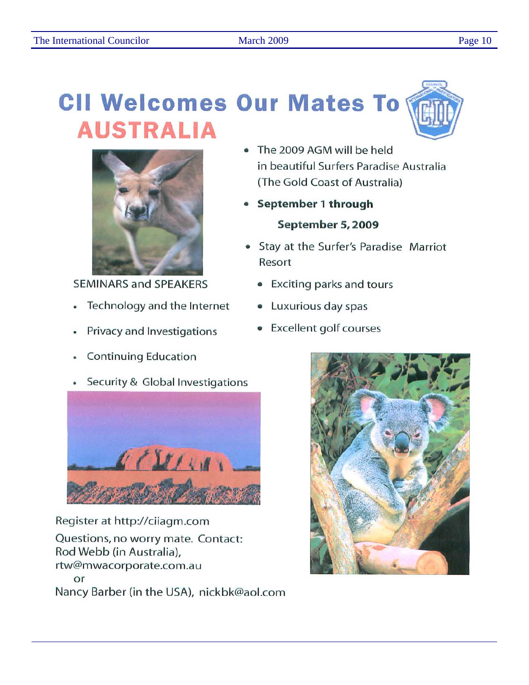# **CII Welcomes Our Mates To AUSTRALIA**



**SEMINARS and SPEAKERS** 

- Technology and the Internet  $\bullet$
- Privacy and Investigations
- **Continuing Education**
- Security & Global Investigations



Register at http://ciiagm.com Questions, no worry mate. Contact: Rod Webb (in Australia), rtw@mwacorporate.com.au or Nancy Barber (in the USA), nickbk@aol.com

- The 2009 AGM will be held in beautiful Surfers Paradise Australia (The Gold Coast of Australia)
- September 1 through September 5, 2009
- Stay at the Surfer's Paradise Marriot Resort
	- Exciting parks and tours
	- Luxurious day spas
	- **Excellent golf courses**

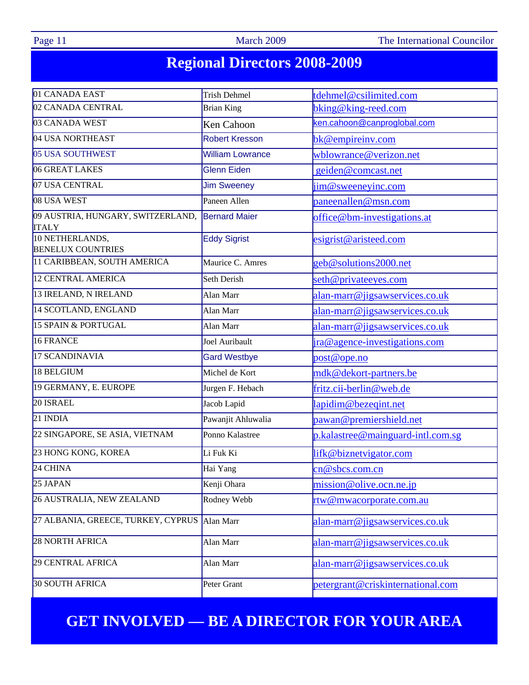Page 11 March 2009 The International Councilor

## **Regional Directors 2008-2009**

| 01 CANADA EAST                                    | <b>Trish Dehmel</b>                         | tdehmel@csilimited.com            |  |  |  |  |
|---------------------------------------------------|---------------------------------------------|-----------------------------------|--|--|--|--|
| 02 CANADA CENTRAL                                 | <b>Brian King</b>                           | bking@king-reed.com               |  |  |  |  |
| 03 CANADA WEST                                    | ken.cahoon@canproglobal.com<br>Ken Cahoon   |                                   |  |  |  |  |
| 04 USA NORTHEAST                                  | <b>Robert Kresson</b>                       | bk@empireinv.com                  |  |  |  |  |
| 05 USA SOUTHWEST                                  | <b>William Lowrance</b>                     | wblowrance@verizon.net            |  |  |  |  |
| 06 GREAT LAKES                                    | <b>Glenn Eiden</b>                          | geiden@comcast.net                |  |  |  |  |
| 07 USA CENTRAL                                    | <b>Jim Sweeney</b>                          | $\lim @$ sweeneyinc.com           |  |  |  |  |
| 08 USA WEST                                       | Paneen Allen                                | paneenallen@msn.com               |  |  |  |  |
| 09 AUSTRIA, HUNGARY, SWITZERLAND,<br><b>ITALY</b> | <b>Bernard Maier</b>                        | office@bm-investigations.at       |  |  |  |  |
| 10 NETHERLANDS,<br><b>BENELUX COUNTRIES</b>       | <b>Eddy Sigrist</b>                         | esigrist@aristeed.com             |  |  |  |  |
| 11 CARIBBEAN, SOUTH AMERICA                       | Maurice C. Amres                            | geb@solutions2000.net             |  |  |  |  |
| 12 CENTRAL AMERICA                                | Seth Derish                                 | seth@privateeyes.com              |  |  |  |  |
| 13 IRELAND, N IRELAND                             | Alan Marr                                   | alan-marr@jigsawservices.co.uk    |  |  |  |  |
| 14 SCOTLAND, ENGLAND                              | Alan Marr                                   | alan-marr@jigsawservices.co.uk    |  |  |  |  |
| 15 SPAIN & PORTUGAL                               | Alan Marr                                   | alan-marr@jigsawservices.co.uk    |  |  |  |  |
| 16 FRANCE                                         | Joel Auribault                              | ira@agence-investigations.com     |  |  |  |  |
| 17 SCANDINAVIA                                    | <b>Gard Westbye</b>                         | post@ope.no                       |  |  |  |  |
| 18 BELGIUM                                        | Michel de Kort                              | mdk@dekort-partners.be            |  |  |  |  |
| 19 GERMANY, E. EUROPE                             | Jurgen F. Hebach                            | fritz.cii-berlin@web.de           |  |  |  |  |
| 20 ISRAEL                                         | Jacob Lapid                                 | lapidim@bezeqint.net              |  |  |  |  |
| 21 INDIA                                          | Pawanjit Ahluwalia                          | pawan@premiershield.net           |  |  |  |  |
| 22 SINGAPORE, SE ASIA, VIETNAM                    | Ponno Kalastree                             | p.kalastree@mainguard-intl.com.sg |  |  |  |  |
| 23 HONG KONG, KOREA                               | Li Fuk Ki                                   | lifk@biznetvigator.com            |  |  |  |  |
| 24 CHINA                                          | Hai Yang                                    | cn@sbcs.com.cn                    |  |  |  |  |
| 25 JAPAN                                          | Kenji Ohara                                 | mission@olive.ocn.ne.jp           |  |  |  |  |
| 26 AUSTRALIA, NEW ZEALAND                         | Rodney Webb                                 | <u>rtw@mwacorporate.com.au</u>    |  |  |  |  |
| 27 ALBANIA, GREECE, TURKEY, CYPRUS                | Alan Marr<br>alan-marr@jigsawservices.co.uk |                                   |  |  |  |  |
| 28 NORTH AFRICA                                   | Alan Marr<br>alan-marr@jigsawservices.co.uk |                                   |  |  |  |  |
| 29 CENTRAL AFRICA                                 | Alan Marr                                   | alan-marr@jigsawservices.co.uk    |  |  |  |  |
| 30 SOUTH AFRICA                                   | Peter Grant                                 | petergrant@criskinternational.com |  |  |  |  |

### **GET INVOLVED — BE A DIRECTOR FOR YOUR AREA**